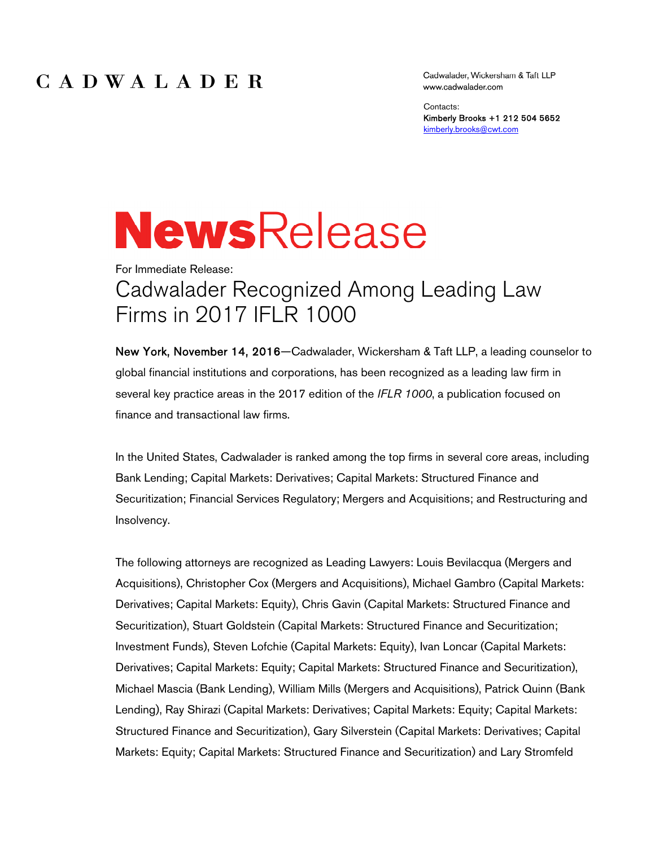#### CADWALADER

Cadwalader, Wickersham & Taft LLP www.cadwalader.com

Contacts: Kimberly Brooks +1 212 504 5652 kimberly.brooks@cwt.com

# **NewsRelease**

For Immediate Release: Cadwalader Recognized Among Leading Law Firms in 2017 IFLR 1000

New York, November 14, 2016—Cadwalader, Wickersham & Taft LLP, a leading counselor to global financial institutions and corporations, has been recognized as a leading law firm in several key practice areas in the 2017 edition of the *IFLR 1000*, a publication focused on finance and transactional law firms.

In the United States, Cadwalader is ranked among the top firms in several core areas, including Bank Lending; Capital Markets: Derivatives; Capital Markets: Structured Finance and Securitization; Financial Services Regulatory; Mergers and Acquisitions; and Restructuring and Insolvency.

The following attorneys are recognized as Leading Lawyers: Louis Bevilacqua (Mergers and Acquisitions), Christopher Cox (Mergers and Acquisitions), Michael Gambro (Capital Markets: Derivatives; Capital Markets: Equity), Chris Gavin (Capital Markets: Structured Finance and Securitization), Stuart Goldstein (Capital Markets: Structured Finance and Securitization; Investment Funds), Steven Lofchie (Capital Markets: Equity), Ivan Loncar (Capital Markets: Derivatives; Capital Markets: Equity; Capital Markets: Structured Finance and Securitization), Michael Mascia (Bank Lending), William Mills (Mergers and Acquisitions), Patrick Quinn (Bank Lending), Ray Shirazi (Capital Markets: Derivatives; Capital Markets: Equity; Capital Markets: Structured Finance and Securitization), Gary Silverstein (Capital Markets: Derivatives; Capital Markets: Equity; Capital Markets: Structured Finance and Securitization) and Lary Stromfeld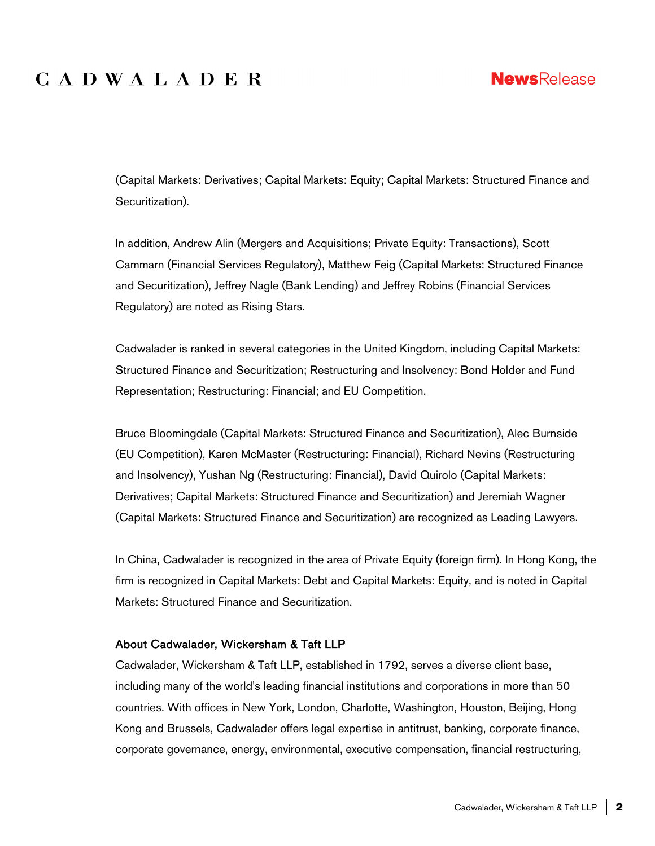### **CADWALADER**

(Capital Markets: Derivatives; Capital Markets: Equity; Capital Markets: Structured Finance and Securitization).

In addition, Andrew Alin (Mergers and Acquisitions; Private Equity: Transactions), Scott Cammarn (Financial Services Regulatory), Matthew Feig (Capital Markets: Structured Finance and Securitization), Jeffrey Nagle (Bank Lending) and Jeffrey Robins (Financial Services Regulatory) are noted as Rising Stars.

Cadwalader is ranked in several categories in the United Kingdom, including Capital Markets: Structured Finance and Securitization; Restructuring and Insolvency: Bond Holder and Fund Representation; Restructuring: Financial; and EU Competition.

Bruce Bloomingdale (Capital Markets: Structured Finance and Securitization), Alec Burnside (EU Competition), Karen McMaster (Restructuring: Financial), Richard Nevins (Restructuring and Insolvency), Yushan Ng (Restructuring: Financial), David Quirolo (Capital Markets: Derivatives; Capital Markets: Structured Finance and Securitization) and Jeremiah Wagner (Capital Markets: Structured Finance and Securitization) are recognized as Leading Lawyers.

In China, Cadwalader is recognized in the area of Private Equity (foreign firm). In Hong Kong, the firm is recognized in Capital Markets: Debt and Capital Markets: Equity, and is noted in Capital Markets: Structured Finance and Securitization.

#### About Cadwalader, Wickersham & Taft LLP

Cadwalader, Wickersham & Taft LLP, established in 1792, serves a diverse client base, including many of the world's leading financial institutions and corporations in more than 50 countries. With offices in New York, London, Charlotte, Washington, Houston, Beijing, Hong Kong and Brussels, Cadwalader offers legal expertise in antitrust, banking, corporate finance, corporate governance, energy, environmental, executive compensation, financial restructuring,